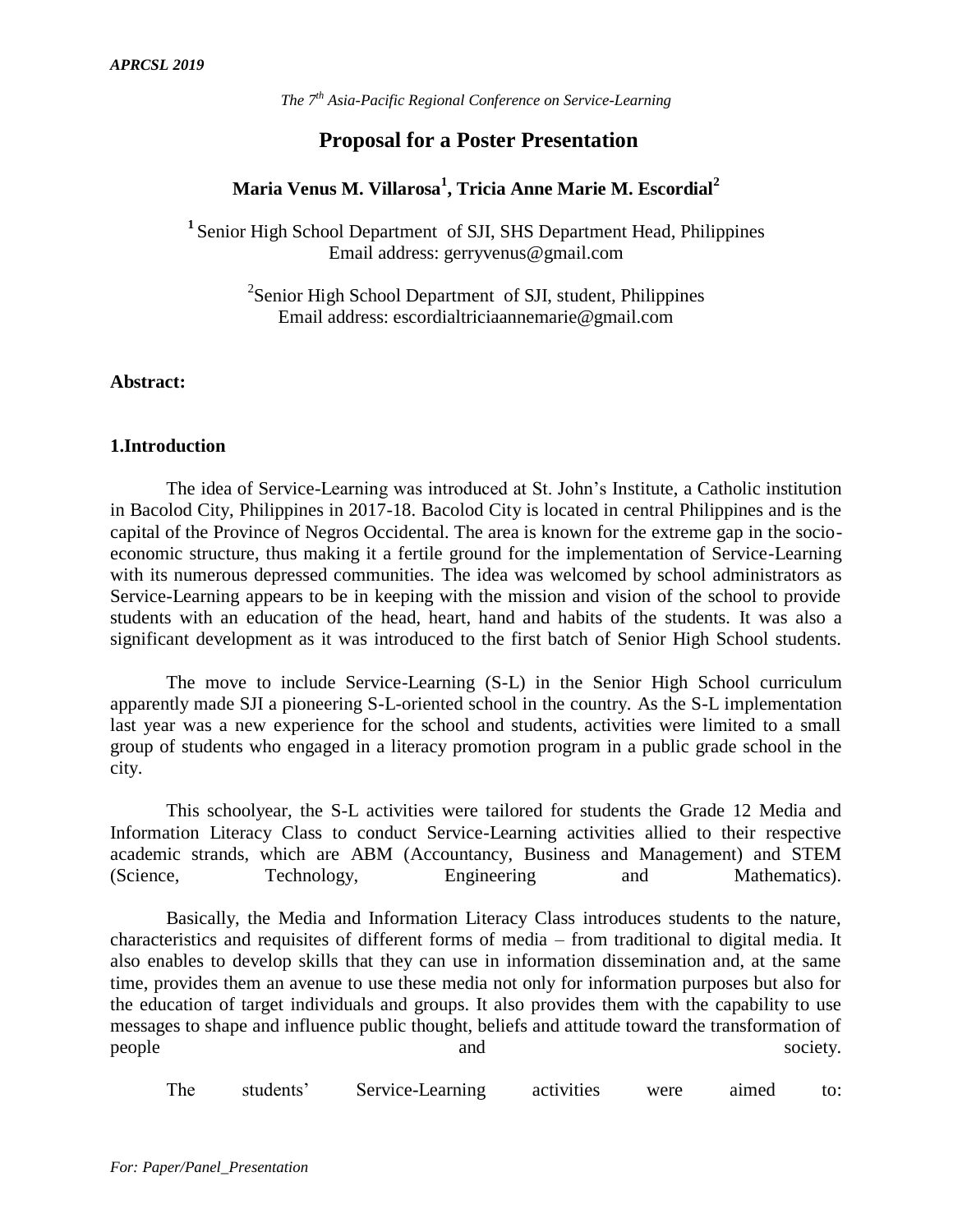# **Proposal for a Poster Presentation**

## **Maria Venus M. Villarosa<sup>1</sup> , Tricia Anne Marie M. Escordial<sup>2</sup>**

**1** Senior High School Department of SJI, SHS Department Head*,* Philippines Email address: [gerryvenus@gmail.com](mailto:gerryvenus@gmail.com)

> 2 Senior High School Department of SJI, student*,* Philippines Email address: [escordialtriciaannemarie@gmail.com](mailto:escordialtriciaannemarie@gmail.com)

### **Abstract:**

#### **1.Introduction**

The idea of Service-Learning was introduced at St. John's Institute, a Catholic institution in Bacolod City, Philippines in 2017-18. Bacolod City is located in central Philippines and is the capital of the Province of Negros Occidental. The area is known for the extreme gap in the socioeconomic structure, thus making it a fertile ground for the implementation of Service-Learning with its numerous depressed communities. The idea was welcomed by school administrators as Service-Learning appears to be in keeping with the mission and vision of the school to provide students with an education of the head, heart, hand and habits of the students. It was also a significant development as it was introduced to the first batch of Senior High School students.

The move to include Service-Learning (S-L) in the Senior High School curriculum apparently made SJI a pioneering S-L-oriented school in the country. As the S-L implementation last year was a new experience for the school and students, activities were limited to a small group of students who engaged in a literacy promotion program in a public grade school in the city.

This schoolyear, the S-L activities were tailored for students the Grade 12 Media and Information Literacy Class to conduct Service-Learning activities allied to their respective academic strands, which are ABM (Accountancy, Business and Management) and STEM (Science, Technology, Engineering and Mathematics).

Basically, the Media and Information Literacy Class introduces students to the nature, characteristics and requisites of different forms of media – from traditional to digital media. It also enables to develop skills that they can use in information dissemination and, at the same time, provides them an avenue to use these media not only for information purposes but also for the education of target individuals and groups. It also provides them with the capability to use messages to shape and influence public thought, beliefs and attitude toward the transformation of people and society.

The students' Service-Learning activities were aimed to: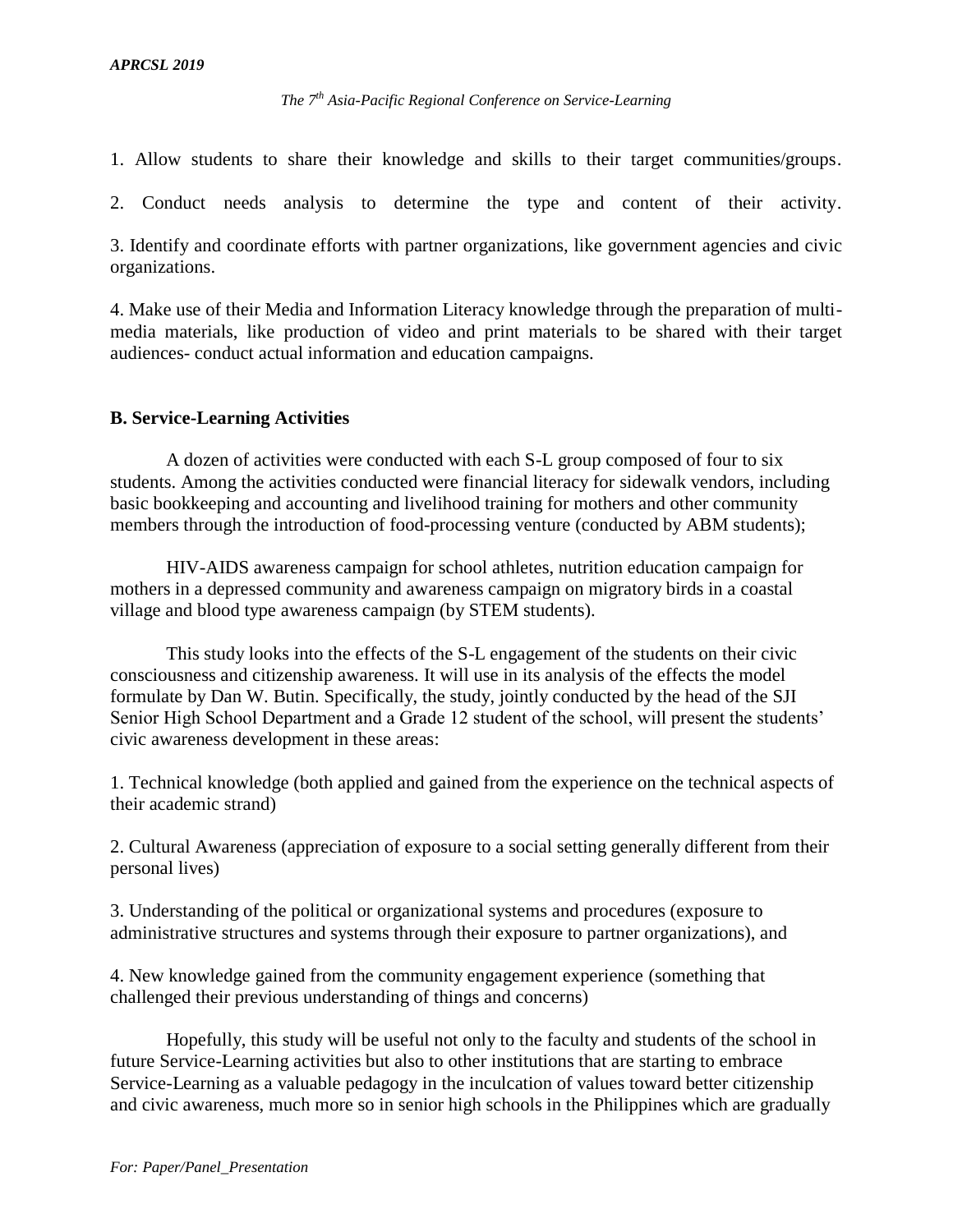1. Allow students to share their knowledge and skills to their target communities/groups.

2. Conduct needs analysis to determine the type and content of their activity.

3. Identify and coordinate efforts with partner organizations, like government agencies and civic organizations.

4. Make use of their Media and Information Literacy knowledge through the preparation of multimedia materials, like production of video and print materials to be shared with their target audiences- conduct actual information and education campaigns.

#### **B. Service-Learning Activities**

A dozen of activities were conducted with each S-L group composed of four to six students. Among the activities conducted were financial literacy for sidewalk vendors, including basic bookkeeping and accounting and livelihood training for mothers and other community members through the introduction of food-processing venture (conducted by ABM students);

HIV-AIDS awareness campaign for school athletes, nutrition education campaign for mothers in a depressed community and awareness campaign on migratory birds in a coastal village and blood type awareness campaign (by STEM students).

This study looks into the effects of the S-L engagement of the students on their civic consciousness and citizenship awareness. It will use in its analysis of the effects the model formulate by Dan W. Butin. Specifically, the study, jointly conducted by the head of the SJI Senior High School Department and a Grade 12 student of the school, will present the students' civic awareness development in these areas:

1. Technical knowledge (both applied and gained from the experience on the technical aspects of their academic strand)

2. Cultural Awareness (appreciation of exposure to a social setting generally different from their personal lives)

3. Understanding of the political or organizational systems and procedures (exposure to administrative structures and systems through their exposure to partner organizations), and

4. New knowledge gained from the community engagement experience (something that challenged their previous understanding of things and concerns)

Hopefully, this study will be useful not only to the faculty and students of the school in future Service-Learning activities but also to other institutions that are starting to embrace Service-Learning as a valuable pedagogy in the inculcation of values toward better citizenship and civic awareness, much more so in senior high schools in the Philippines which are gradually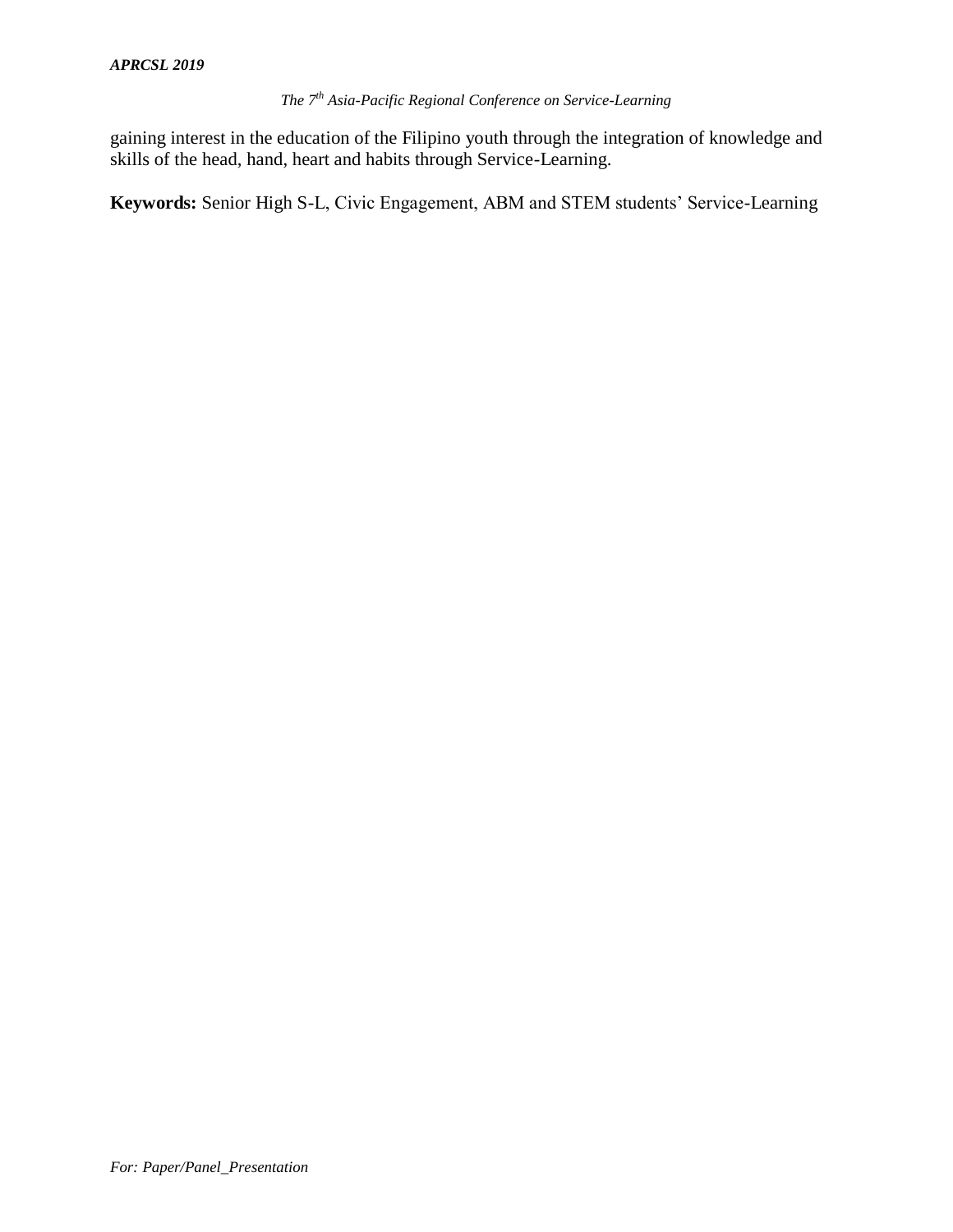gaining interest in the education of the Filipino youth through the integration of knowledge and skills of the head, hand, heart and habits through Service-Learning.

**Keywords:** Senior High S-L, Civic Engagement, ABM and STEM students' Service-Learning